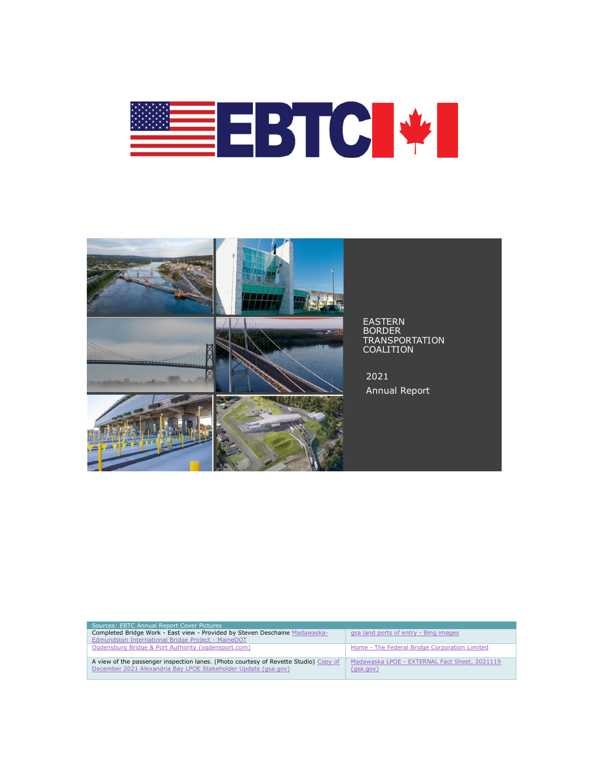



| Sources: EBTC Annual Report Cover Pictures                                           |                                               |
|--------------------------------------------------------------------------------------|-----------------------------------------------|
| Completed Bridge Work - East view - Provided by Steven Deschaine Madawaska-          | gsa land ports of entry - Bing images         |
| Edmundston International Bridge Project - MaineDOT                                   |                                               |
| Ogdensburg Bridge & Port Authority (ogdensport.com)                                  | Home - The Federal Bridge Corporation Limited |
|                                                                                      |                                               |
| A view of the passenger inspection lanes. (Photo courtesy of Revette Studio) Copy of | Madawaska LPOE - EXTERNAL Fact Sheet, 2021119 |
| December 2021 Alexandria Bay LPOE Stakeholder Update (qsa.qov)                       | (gsa.gov)                                     |
|                                                                                      |                                               |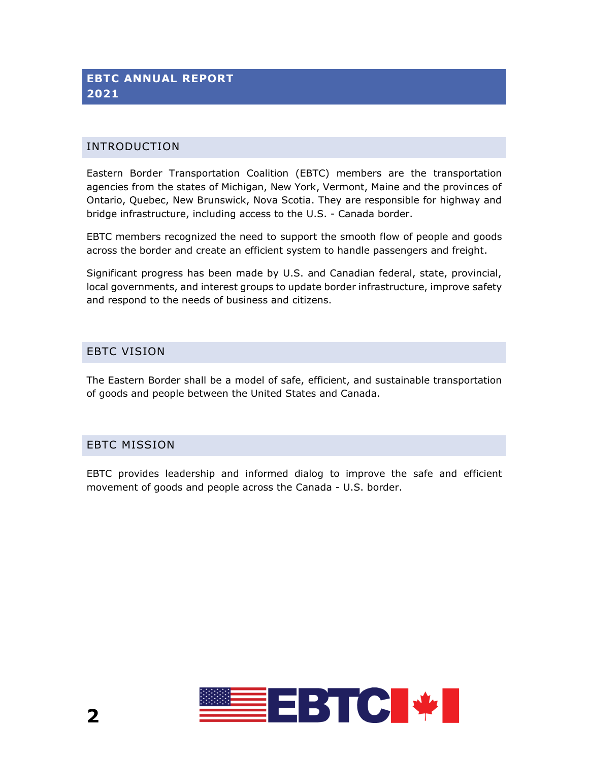# **EBTC ANNUAL REPORT 2021**

#### INTRODUCTION

Eastern Border Transportation Coalition (EBTC) members are the transportation agencies from the states of Michigan, New York, Vermont, Maine and the provinces of Ontario, Quebec, New Brunswick, Nova Scotia. They are responsible for highway and bridge infrastructure, including access to the U.S. - Canada border.

EBTC members recognized the need to support the smooth flow of people and goods across the border and create an efficient system to handle passengers and freight.

Significant progress has been made by U.S. and Canadian federal, state, provincial, local governments, and interest groups to update border infrastructure, improve safety and respond to the needs of business and citizens.

#### EBTC VISION

The Eastern Border shall be a model of safe, efficient, and sustainable transportation of goods and people between the United States and Canada.

#### EBTC MISSION

EBTC provides leadership and informed dialog to improve the safe and efficient movement of goods and people across the Canada - U.S. border.

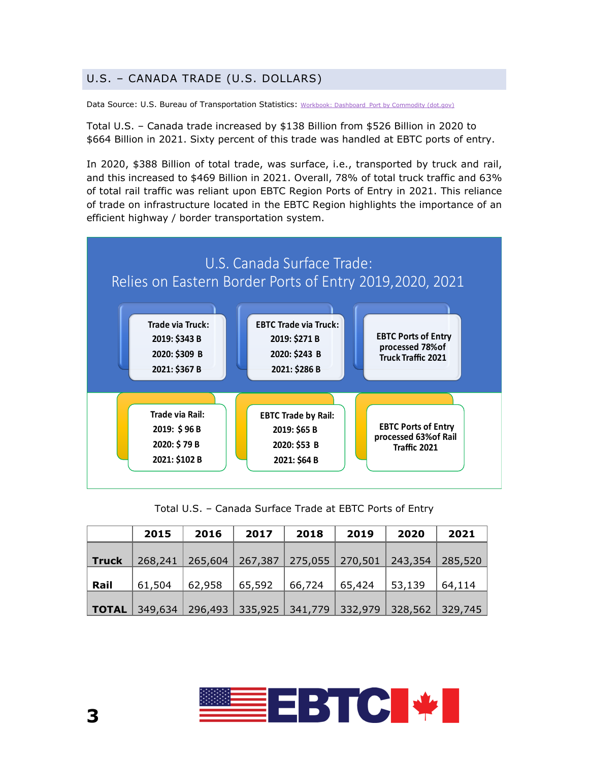# U.S. – CANADA TRADE (U.S. DOLLARS)

Data Source: U.S. Bureau of Transportation Statistics: [Workbook: Dashboard\\_Port by Commodity \(dot.gov\)](https://explore.dot.gov/views/Dashboard_PortbyCommodity/PortsbyCommodities?%3Aiid=3&%3AisGuestRedirectFromVizportal=y&%3Aembed=y)

Total U.S. – Canada trade increased by \$138 Billion from \$526 Billion in 2020 to \$664 Billion in 2021. Sixty percent of this trade was handled at EBTC ports of entry.

In 2020, \$388 Billion of total trade, was surface, i.e., transported by truck and rail, and this increased to \$469 Billion in 2021. Overall, 78% of total truck traffic and 63% of total rail traffic was reliant upon EBTC Region Ports of Entry in 2021. This reliance of trade on infrastructure located in the EBTC Region highlights the importance of an efficient highway / border transportation system.



Total U.S. – Canada Surface Trade at EBTC Ports of Entry

|              | 2015    | 2016    | 2017                    | 2018   | 2019              | 2020    | 2021            |
|--------------|---------|---------|-------------------------|--------|-------------------|---------|-----------------|
| <b>Truck</b> | 268,241 | 265,604 | 267,387                 |        | 275,055   270,501 | 243,354 | 285,520         |
| Rail         | 61,504  | 62,958  | 65,592                  | 66,724 | 65,424            | 53,139  | 64,114          |
| <b>TOTAL</b> | 349,634 | 296,493 | 335,925 341,779 332,979 |        |                   |         | 328,562 329,745 |

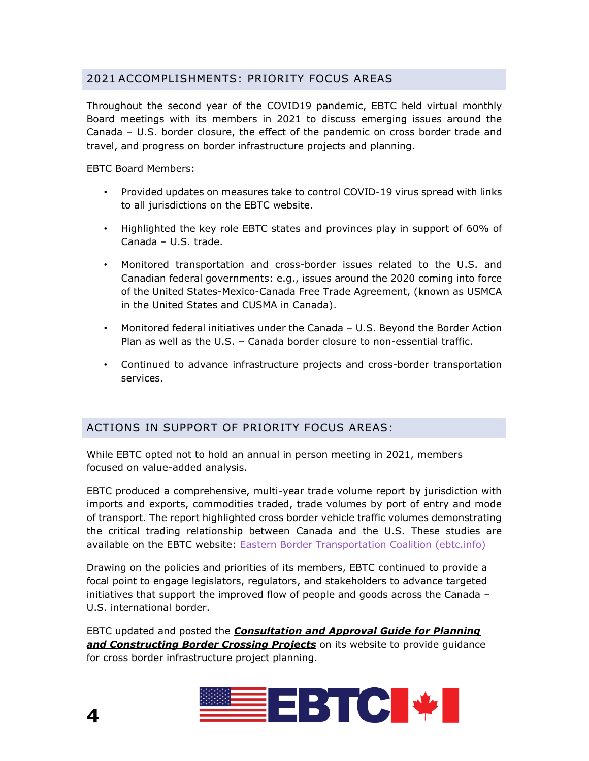# 2021 ACCOMPLISHMENTS: PRIORITY FOCUS AREAS

Throughout the second year of the COVID19 pandemic, EBTC held virtual monthly Board meetings with its members in 2021 to discuss emerging issues around the Canada – U.S. border closure, the effect of the pandemic on cross border trade and travel, and progress on border infrastructure projects and planning.

EBTC Board Members:

- Provided updates on measures take to control COVID-19 virus spread with links to all jurisdictions on the EBTC website.
- Highlighted the key role EBTC states and provinces play in support of 60% of Canada – U.S. trade.
- Monitored transportation and cross-border issues related to the U.S. and Canadian federal governments: e.g., issues around the 2020 coming into force of the United States-Mexico-Canada Free Trade Agreement, (known as USMCA in the United States and CUSMA in Canada).
- Monitored federal initiatives under the Canada U.S. Beyond the Border Action Plan as well as the U.S. – Canada border closure to non-essential traffic.
- Continued to advance infrastructure projects and cross-border transportation services.

## ACTIONS IN SUPPORT OF PRIORITY FOCUS AREAS:

While EBTC opted not to hold an annual in person meeting in 2021, members focused on value-added analysis.

EBTC produced a comprehensive, multi-year trade volume report by jurisdiction with imports and exports, commodities traded, trade volumes by port of entry and mode of transport. The report highlighted cross border vehicle traffic volumes demonstrating the critical trading relationship between Canada and the U.S. These studies are available on the EBTC website: [Eastern Border Transportation Coalition \(ebtc.info\)](https://ebtc.info/)

Drawing on the policies and priorities of its members, EBTC continued to provide a focal point to engage legislators, regulators, and stakeholders to advance targeted initiatives that support the improved flow of people and goods across the Canada – U.S. international border.

EBTC updated and posted the *Consultation and Approval Guide for Planning and Constructing Border Crossing Projects* on its website to provide guidance for cross border infrastructure project planning.

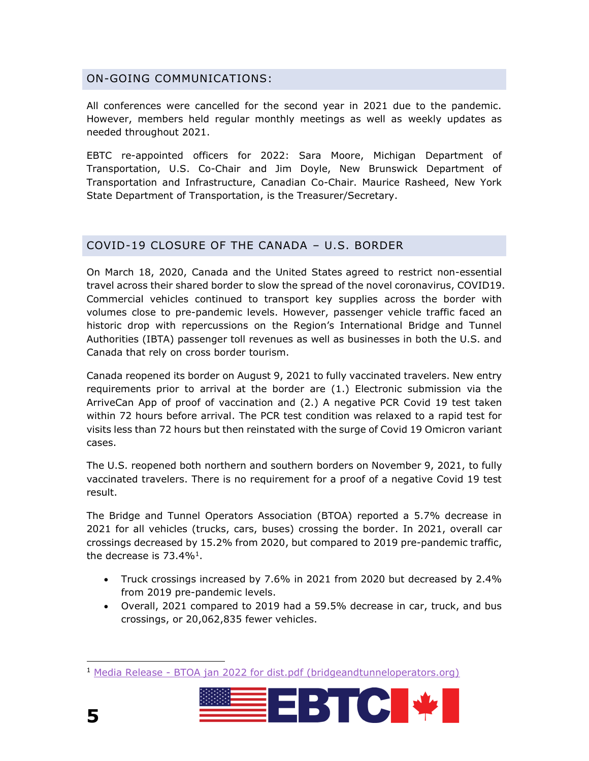#### ON-GOING COMMUNICATIONS:

All conferences were cancelled for the second year in 2021 due to the pandemic. However, members held regular monthly meetings as well as weekly updates as needed throughout 2021.

EBTC re-appointed officers for 2022: Sara Moore, Michigan Department of Transportation, U.S. Co-Chair and Jim Doyle, New Brunswick Department of Transportation and Infrastructure, Canadian Co-Chair. Maurice Rasheed, New York State Department of Transportation, is the Treasurer/Secretary.

#### COVID-19 CLOSURE OF THE CANADA – U.S. BORDER

On March 18, 2020, Canada and the United States agreed to restrict non-essential travel across their shared border to slow the spread of the novel coronavirus, COVID19. Commercial vehicles continued to transport key supplies across the border with volumes close to pre-pandemic levels. However, passenger vehicle traffic faced an historic drop with repercussions on the Region's International Bridge and Tunnel Authorities (IBTA) passenger toll revenues as well as businesses in both the U.S. and Canada that rely on cross border tourism.

Canada reopened its border on August 9, 2021 to fully vaccinated travelers. New entry requirements prior to arrival at the border are (1.) Electronic submission via the ArriveCan App of proof of vaccination and (2.) A negative PCR Covid 19 test taken within 72 hours before arrival. The PCR test condition was relaxed to a rapid test for visits less than 72 hours but then reinstated with the surge of Covid 19 Omicron variant cases.

The U.S. reopened both northern and southern borders on November 9, 2021, to fully vaccinated travelers. There is no requirement for a proof of a negative Covid 19 test result.

The Bridge and Tunnel Operators Association (BTOA) reported a 5.7% decrease in 2021 for all vehicles (trucks, cars, buses) crossing the border. In 2021, overall car crossings decreased by 15.2% from 2020, but compared to 2019 pre-pandemic traffic, the decrease is 73.4%<sup>1</sup>.

- Truck crossings increased by 7.6% in 2021 from 2020 but decreased by 2.4% from 2019 pre-pandemic levels.
- Overall, 2021 compared to 2019 had a 59.5% decrease in car, truck, and bus crossings, or 20,062,835 fewer vehicles.

<sup>1</sup> Media Release - [BTOA jan 2022 for dist.pdf \(bridgeandtunneloperators.org\)](https://www.bridgeandtunneloperators.org/images/Media%20Release%20-%20BTOA%20jan%202022%20for%20dist.pdf)

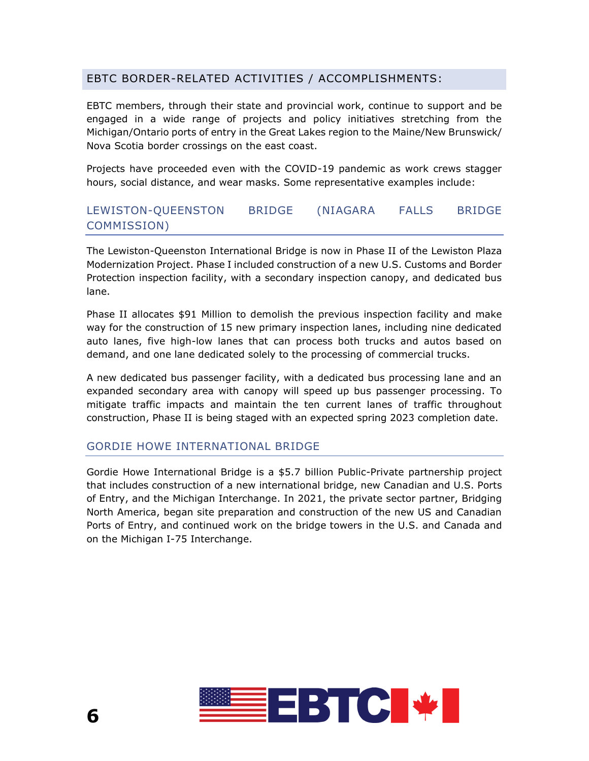## EBTC BORDER-RELATED ACTIVITIES / ACCOMPLISHMENTS:

EBTC members, through their state and provincial work, continue to support and be engaged in a wide range of projects and policy initiatives stretching from the Michigan/Ontario ports of entry in the Great Lakes region to the Maine/New Brunswick/ Nova Scotia border crossings on the east coast.

Projects have proceeded even with the COVID-19 pandemic as work crews stagger hours, social distance, and wear masks. Some representative examples include:

## LEWISTON-QUEENSTON BRIDGE (NIAGARA FALLS BRIDGE COMMISSION)

The Lewiston-Queenston International Bridge is now in Phase II of the Lewiston Plaza Modernization Project. Phase I included construction of a new U.S. Customs and Border Protection inspection facility, with a secondary inspection canopy, and dedicated bus lane.

Phase II allocates \$91 Million to demolish the previous inspection facility and make way for the construction of 15 new primary inspection lanes, including nine dedicated auto lanes, five high-low lanes that can process both trucks and autos based on demand, and one lane dedicated solely to the processing of commercial trucks.

A new dedicated bus passenger facility, with a dedicated bus processing lane and an expanded secondary area with canopy will speed up bus passenger processing. To mitigate traffic impacts and maintain the ten current lanes of traffic throughout construction, Phase II is being staged with an expected spring 2023 completion date.

#### GORDIE HOWE INTERNATIONAL BRIDGE

Gordie Howe International Bridge is a \$5.7 billion Public-Private partnership project that includes construction of a new international bridge, new Canadian and U.S. Ports of Entry, and the Michigan Interchange. In 2021, the private sector partner, Bridging North America, began site preparation and construction of the new US and Canadian Ports of Entry, and continued work on the bridge towers in the U.S. and Canada and on the Michigan I-75 Interchange.

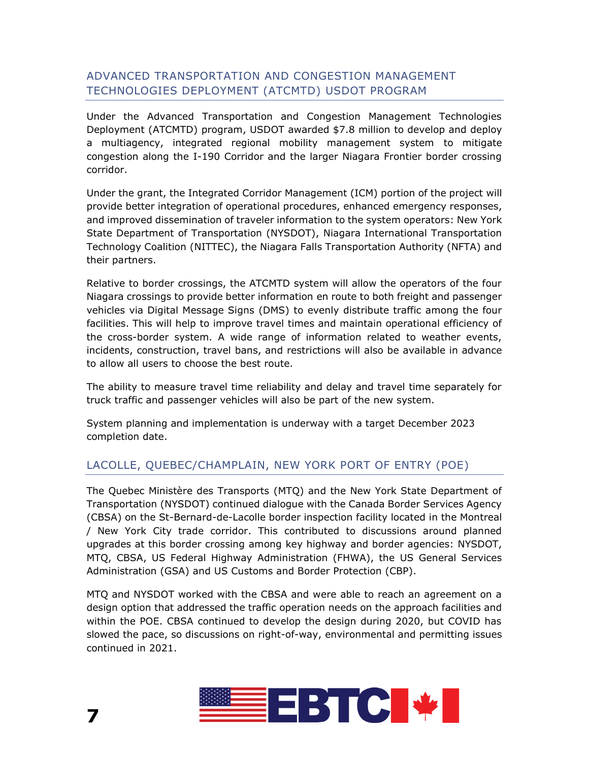## ADVANCED TRANSPORTATION AND CONGESTION MANAGEMENT TECHNOLOGIES DEPLOYMENT (ATCMTD) USDOT PROGRAM

Under the Advanced Transportation and Congestion Management Technologies Deployment (ATCMTD) program, USDOT awarded \$7.8 million to develop and deploy a multiagency, integrated regional mobility management system to mitigate congestion along the I-190 Corridor and the larger Niagara Frontier border crossing corridor.

Under the grant, the Integrated Corridor Management (ICM) portion of the project will provide better integration of operational procedures, enhanced emergency responses, and improved dissemination of traveler information to the system operators: New York State Department of Transportation (NYSDOT), Niagara International Transportation Technology Coalition (NITTEC), the Niagara Falls Transportation Authority (NFTA) and their partners.

Relative to border crossings, the ATCMTD system will allow the operators of the four Niagara crossings to provide better information en route to both freight and passenger vehicles via Digital Message Signs (DMS) to evenly distribute traffic among the four facilities. This will help to improve travel times and maintain operational efficiency of the cross-border system. A wide range of information related to weather events, incidents, construction, travel bans, and restrictions will also be available in advance to allow all users to choose the best route.

The ability to measure travel time reliability and delay and travel time separately for truck traffic and passenger vehicles will also be part of the new system.

System planning and implementation is underway with a target December 2023 completion date.

# LACOLLE, QUEBEC/CHAMPLAIN, NEW YORK PORT OF ENTRY (POE)

The Quebec Ministère des Transports (MTQ) and the New York State Department of Transportation (NYSDOT) continued dialogue with the Canada Border Services Agency (CBSA) on the St-Bernard-de-Lacolle border inspection facility located in the Montreal / New York City trade corridor. This contributed to discussions around planned upgrades at this border crossing among key highway and border agencies: NYSDOT, MTQ, CBSA, US Federal Highway Administration (FHWA), the US General Services Administration (GSA) and US Customs and Border Protection (CBP).

MTQ and NYSDOT worked with the CBSA and were able to reach an agreement on a design option that addressed the traffic operation needs on the approach facilities and within the POE. CBSA continued to develop the design during 2020, but COVID has slowed the pace, so discussions on right-of-way, environmental and permitting issues continued in 2021.

**7** 

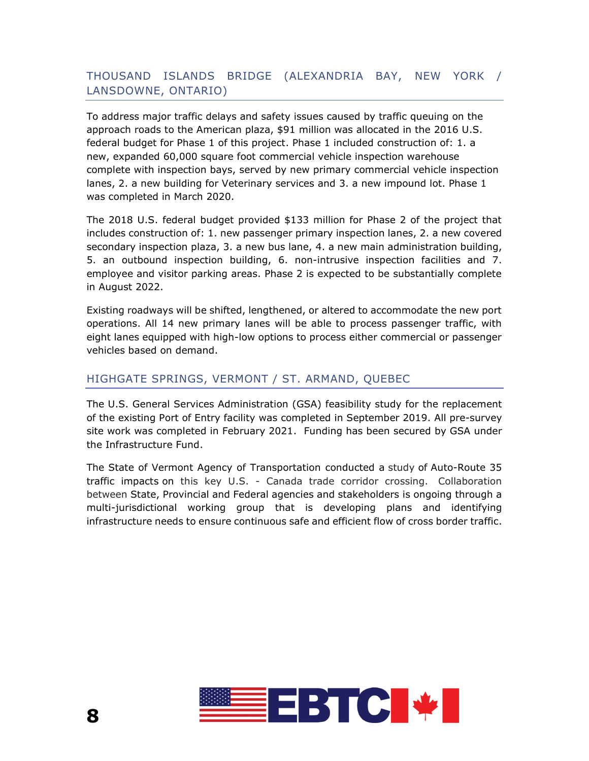# THOUSAND ISLANDS BRIDGE (ALEXANDRIA BAY, NEW YORK / LANSDOWNE, ONTARIO)

To address major traffic delays and safety issues caused by traffic queuing on the approach roads to the American plaza, \$91 million was allocated in the 2016 U.S. federal budget for Phase 1 of this project. Phase 1 included construction of: 1. a new, expanded 60,000 square foot commercial vehicle inspection warehouse complete with inspection bays, served by new primary commercial vehicle inspection lanes, 2. a new building for Veterinary services and 3. a new impound lot. Phase 1 was completed in March 2020.

The 2018 U.S. federal budget provided \$133 million for Phase 2 of the project that includes construction of: 1. new passenger primary inspection lanes, 2. a new covered secondary inspection plaza, 3. a new bus lane, 4. a new main administration building, 5. an outbound inspection building, 6. non-intrusive inspection facilities and 7. employee and visitor parking areas. Phase 2 is expected to be substantially complete in August 2022.

Existing roadways will be shifted, lengthened, or altered to accommodate the new port operations. All 14 new primary lanes will be able to process passenger traffic, with eight lanes equipped with high-low options to process either commercial or passenger vehicles based on demand.

#### HIGHGATE SPRINGS, VERMONT / ST. ARMAND, QUEBEC

The U.S. General Services Administration (GSA) feasibility study for the replacement of the existing Port of Entry facility was completed in September 2019. All pre-survey site work was completed in February 2021. Funding has been secured by GSA under the Infrastructure Fund.

The State of Vermont Agency of Transportation conducted a study of Auto-Route 35 traffic impacts on this key U.S. - Canada trade corridor crossing. Collaboration between State, Provincial and Federal agencies and stakeholders is ongoing through a multi-jurisdictional working group that is developing plans and identifying infrastructure needs to ensure continuous safe and efficient flow of cross border traffic.

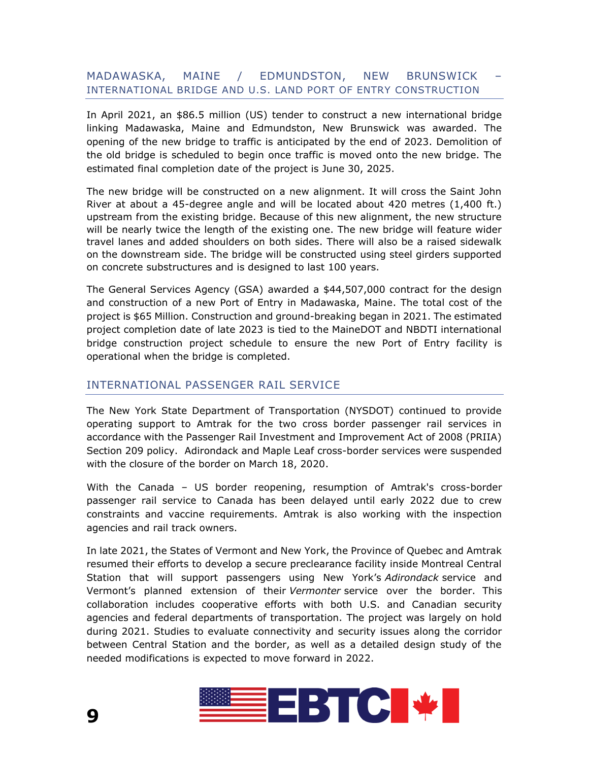#### MADAWASKA, MAINE / EDMUNDSTON, NEW BRUNSWICK – INTERNATIONAL BRIDGE AND U.S. LAND PORT OF ENTRY CONSTRUCTION

In April 2021, an \$86.5 million (US) tender to construct a new international bridge linking Madawaska, Maine and Edmundston, New Brunswick was awarded. The opening of the new bridge to traffic is anticipated by the end of 2023. Demolition of the old bridge is scheduled to begin once traffic is moved onto the new bridge. The estimated final completion date of the project is June 30, 2025.

The new bridge will be constructed on a new alignment. It will cross the Saint John River at about a 45-degree angle and will be located about 420 metres (1,400 ft.) upstream from the existing bridge. Because of this new alignment, the new structure will be nearly twice the length of the existing one. The new bridge will feature wider travel lanes and added shoulders on both sides. There will also be a raised sidewalk on the downstream side. The bridge will be constructed using steel girders supported on concrete substructures and is designed to last 100 years.

The General Services Agency (GSA) awarded a \$44,507,000 contract for the design and construction of a new Port of Entry in Madawaska, Maine. The total cost of the project is \$65 Million. Construction and ground-breaking began in 2021. The estimated project completion date of late 2023 is tied to the MaineDOT and NBDTI international bridge construction project schedule to ensure the new Port of Entry facility is operational when the bridge is completed.

#### INTERNATIONAL PASSENGER RAIL SERVICE

The New York State Department of Transportation (NYSDOT) continued to provide operating support to Amtrak for the two cross border passenger rail services in accordance with the Passenger Rail Investment and Improvement Act of 2008 (PRIIA) Section 209 policy. Adirondack and Maple Leaf cross-border services were suspended with the closure of the border on March 18, 2020.

With the Canada – US border reopening, resumption of Amtrak's cross-border passenger rail service to Canada has been delayed until early 2022 due to crew constraints and vaccine requirements. Amtrak is also working with the inspection agencies and rail track owners.

In late 2021, the States of Vermont and New York, the Province of Quebec and Amtrak resumed their efforts to develop a secure preclearance facility inside Montreal Central Station that will support passengers using New York's *Adirondack* service and Vermont's planned extension of their Vermonter service over the border. This collaboration includes cooperative efforts with both U.S. and Canadian security agencies and federal departments of transportation. The project was largely on hold during 2021. Studies to evaluate connectivity and security issues along the corridor between Central Station and the border, as well as a detailed design study of the needed modifications is expected to move forward in 2022.

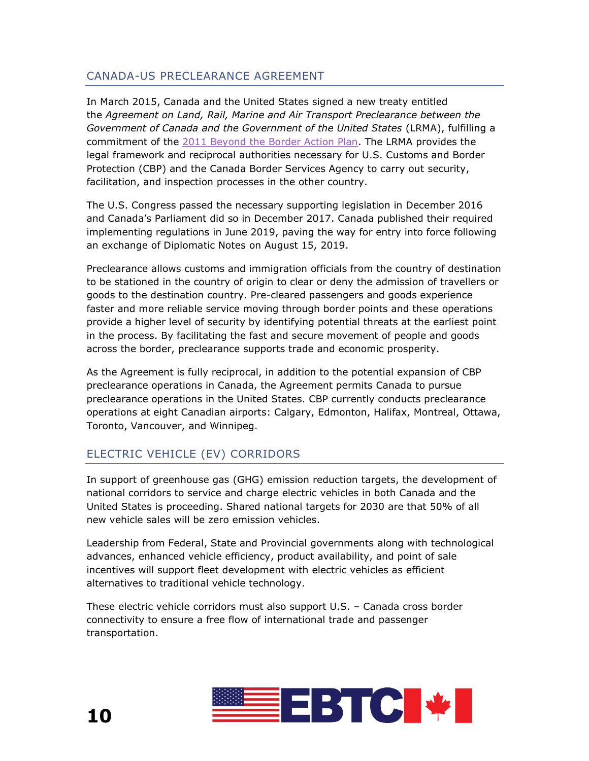## CANADA-US PRECLEARANCE AGREEMENT

In March 2015, Canada and the United States signed a new treaty entitled the *Agreement on Land, Rail, Marine and Air Transport Preclearance between the Government of Canada and the Government of the United States* (LRMA), fulfilling a commitment of the [2011 Beyond the Border Action Plan.](https://www.publicsafety.gc.ca/cnt/brdr-strtgs/bynd-th-brdr/index-en.aspx) The LRMA provides the legal framework and reciprocal authorities necessary for U.S. Customs and Border Protection (CBP) and the Canada Border Services Agency to carry out security, facilitation, and inspection processes in the other country.

The U.S. Congress passed the necessary supporting legislation in December 2016 and Canada's Parliament did so in December 2017. Canada published their required implementing regulations in June 2019, paving the way for entry into force following an exchange of Diplomatic Notes on August 15, 2019.

Preclearance allows customs and immigration officials from the country of destination to be stationed in the country of origin to clear or deny the admission of travellers or goods to the destination country. Pre-cleared passengers and goods experience faster and more reliable service moving through border points and these operations provide a higher level of security by identifying potential threats at the earliest point in the process. By facilitating the fast and secure movement of people and goods across the border, preclearance supports trade and economic prosperity.

As the Agreement is fully reciprocal, in addition to the potential expansion of CBP preclearance operations in Canada, the Agreement permits Canada to pursue preclearance operations in the United States. CBP currently conducts preclearance operations at eight Canadian airports: Calgary, Edmonton, Halifax, Montreal, Ottawa, Toronto, Vancouver, and Winnipeg.

# ELECTRIC VEHICLE (EV) CORRIDORS

In support of greenhouse gas (GHG) emission reduction targets, the development of national corridors to service and charge electric vehicles in both Canada and the United States is proceeding. Shared national targets for 2030 are that 50% of all new vehicle sales will be zero emission vehicles.

Leadership from Federal, State and Provincial governments along with technological advances, enhanced vehicle efficiency, product availability, and point of sale incentives will support fleet development with electric vehicles as efficient alternatives to traditional vehicle technology.

These electric vehicle corridors must also support U.S. – Canada cross border connectivity to ensure a free flow of international trade and passenger transportation.